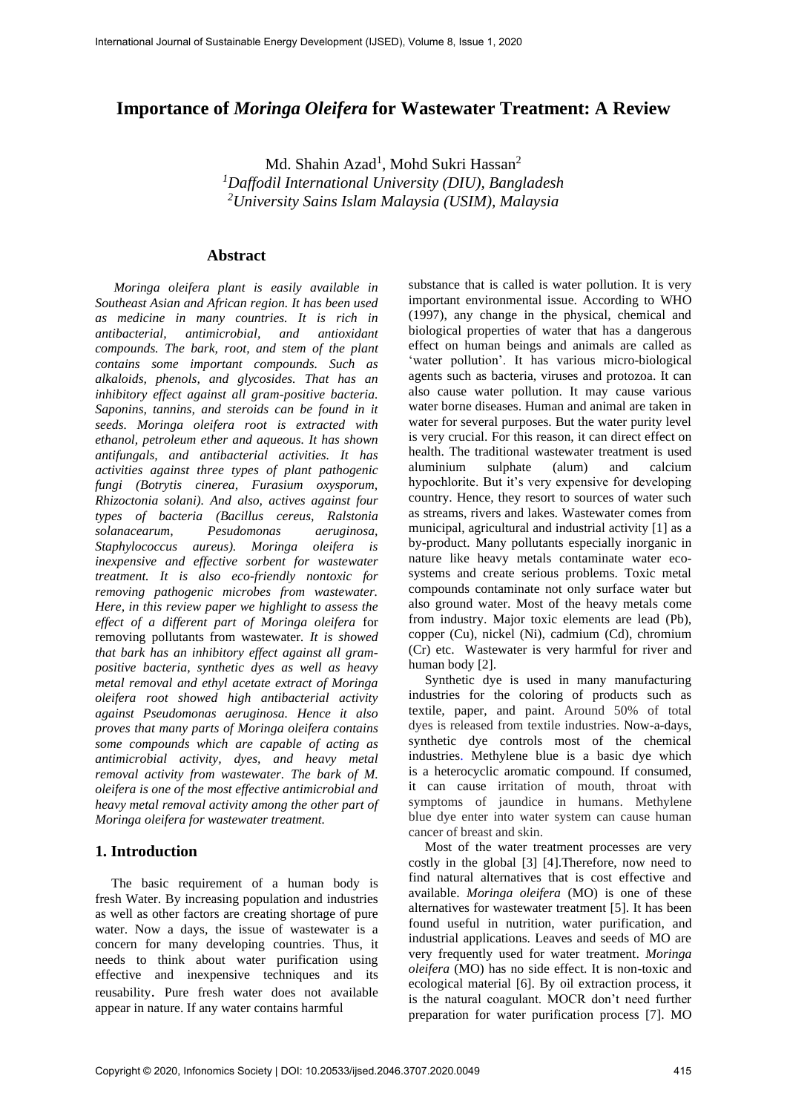# **Importance of** *Moringa Oleifera* **for Wastewater Treatment: A Review**

Md. Shahin Azad<sup>1</sup>, Mohd Sukri Hassan<sup>2</sup> *<sup>1</sup>Daffodil International University (DIU), Bangladesh <sup>2</sup>University Sains Islam Malaysia (USIM), Malaysia*

#### **Abstract**

*Moringa oleifera plant is easily available in Southeast Asian and African region. It has been used as medicine in many countries. It is rich in antibacterial, antimicrobial, and antioxidant compounds. The bark, root, and stem of the plant contains some important compounds. Such as alkaloids, phenols, and glycosides. That has an inhibitory effect against all gram-positive bacteria. Saponins, tannins, and steroids can be found in it seeds. Moringa oleifera root is extracted with ethanol, petroleum ether and aqueous. It has shown antifungals, and antibacterial activities. It has activities against three types of plant pathogenic fungi (Botrytis cinerea, Furasium oxysporum, Rhizoctonia solani). And also, actives against four types of bacteria (Bacillus cereus, Ralstonia solanacearum, Pesudomonas aeruginosa, Staphylococcus aureus). Moringa oleifera is inexpensive and effective sorbent for wastewater treatment. It is also eco-friendly nontoxic for removing pathogenic microbes from wastewater. Here, in this review paper we highlight to assess the effect of a different part of Moringa oleifera* for removing pollutants from wastewater*. It is showed that bark has an inhibitory effect against all grampositive bacteria, synthetic dyes as well as heavy metal removal and ethyl acetate extract of Moringa oleifera root showed high antibacterial activity against Pseudomonas aeruginosa. Hence it also proves that many parts of Moringa oleifera contains some compounds which are capable of acting as antimicrobial activity, dyes, and heavy metal removal activity from wastewater. The bark of M. oleifera is one of the most effective antimicrobial and heavy metal removal activity among the other part of Moringa oleifera for wastewater treatment.*

### **1. Introduction**

The basic requirement of a human body is fresh Water. By increasing population and industries as well as other factors are creating shortage of pure water. Now a days, the issue of wastewater is a concern for many developing countries. Thus, it needs to think about water purification using effective and inexpensive techniques and its reusability. Pure fresh water does not available appear in nature. If any water contains harmful

substance that is called is water pollution. It is very important environmental issue. According to WHO (1997), any change in the physical, chemical and biological properties of water that has a dangerous effect on human beings and animals are called as 'water pollution'. It has various micro-biological agents such as bacteria, viruses and protozoa. It can also cause water pollution. It may cause various water borne diseases. Human and animal are taken in water for several purposes. But the water purity level is very crucial. For this reason, it can direct effect on health. The traditional wastewater treatment is used aluminium sulphate (alum) and calcium hypochlorite. But it's very expensive for developing country. Hence, they resort to sources of water such as streams, rivers and lakes*.* Wastewater comes from municipal, agricultural and industrial activity [1] as a by-product. Many pollutants especially inorganic in nature like heavy metals contaminate water ecosystems and create serious problems. Toxic metal compounds contaminate not only surface water but also ground water. Most of the heavy metals come from industry. Major toxic elements are lead (Pb), copper (Cu), nickel (Ni), cadmium (Cd), chromium (Cr) etc. Wastewater is very harmful for river and human body [2].

Synthetic dye is used in many manufacturing industries for the coloring of products such as textile, paper, and paint. Around 50% of total dyes is released from textile industries. Now-a-days, synthetic dye controls most of the chemical industries. Methylene blue is a basic dye which is a heterocyclic aromatic compound. If consumed, it can cause irritation of mouth, throat with symptoms of jaundice in humans. Methylene blue dye enter into water system can cause human cancer of breast and skin.

Most of the water treatment processes are very costly in the global [3] [4].Therefore, now need to find natural alternatives that is cost effective and available. *Moringa oleifera* (MO) is one of these alternatives for wastewater treatment [5]. It has been found useful in nutrition, water purification, and industrial applications. Leaves and seeds of MO are very frequently used for water treatment. *Moringa oleifera* (MO) has no side effect. It is non-toxic and ecological material [6]. By oil extraction process, it is the natural coagulant. MOCR don't need further preparation for water purification process [7]. MO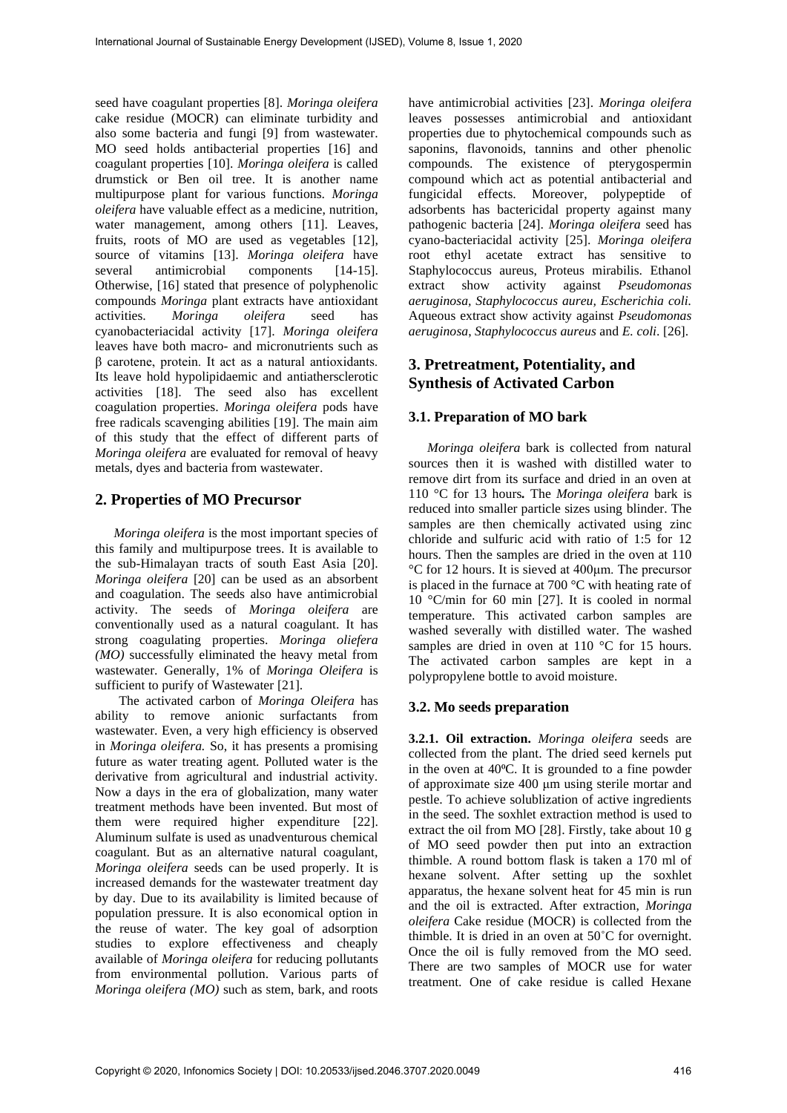seed have coagulant properties [8]. *Moringa oleifera* cake residue (MOCR) can eliminate turbidity and also some bacteria and fungi [9] from wastewater. MO seed holds antibacterial properties [16] and coagulant properties [10]. *Moringa oleifera* is called drumstick or Ben oil tree. It is another name multipurpose plant for various functions. *Moringa oleifera* have valuable effect as a medicine, nutrition, water management, among others [11]. Leaves, fruits, roots of MO are used as vegetables [12], source of vitamins [13]. *Moringa oleifera* have several antimicrobial components [14-15]. Otherwise, [16] stated that presence of polyphenolic compounds *Moringa* plant extracts have antioxidant activities. *Moringa oleifera* seed has cyanobacteriacidal activity [17]. *Moringa oleifera* leaves have both macro- and micronutrients such as β carotene, protein. It act as a natural antioxidants. Its leave hold hypolipidaemic and antiathersclerotic activities [18]. The seed also has excellent coagulation properties. *Moringa oleifera* pods have free radicals scavenging abilities [19]. The main aim of this study that the effect of different parts of *Moringa oleifera* are evaluated for removal of heavy metals, dyes and bacteria from wastewater.

# **2. Properties of MO Precursor**

*Moringa oleifera* is the most important species of this family and multipurpose trees. It is available to the sub-Himalayan tracts of south East Asia [20]. *Moringa oleifera* [20] can be used as an absorbent and coagulation. The seeds also have antimicrobial activity. The seeds of *Moringa oleifera* are conventionally used as a natural coagulant. It has strong coagulating properties. *Moringa oliefera (MO)* successfully eliminated the heavy metal from wastewater. Generally, 1% of *Moringa Oleifera* is sufficient to purify of Wastewater [21].

The activated carbon of *Moringa Oleifera* has ability to remove anionic surfactants from wastewater. Even, a very high efficiency is observed in *Moringa oleifera.* So, it has presents a promising future as water treating agent. Polluted water is the derivative from agricultural and industrial activity. Now a days in the era of globalization, many water treatment methods have been invented. But most of them were required higher expenditure [22]. Aluminum sulfate is used as unadventurous chemical coagulant. But as an alternative natural coagulant, *Moringa oleifera* seeds can be used properly. It is increased demands for the wastewater treatment day by day. Due to its availability is limited because of population pressure. It is also economical option in the reuse of water. The key goal of adsorption studies to explore effectiveness and cheaply available of *Moringa oleifera* for reducing pollutants from environmental pollution. Various parts of *Moringa oleifera (MO)* such as stem, bark, and roots

have antimicrobial activities [23]. *Moringa oleifera* leaves possesses antimicrobial and antioxidant properties due to phytochemical compounds such as saponins, flavonoids, tannins and other phenolic compounds. The existence of pterygospermin compound which act as potential antibacterial and fungicidal effects. Moreover, polypeptide of adsorbents has bactericidal property against many pathogenic bacteria [24]. *Moringa oleifera* seed has cyano-bacteriacidal activity [25]. *Moringa oleifera* root ethyl acetate extract has sensitive to Staphylococcus aureus, Proteus mirabilis. Ethanol extract show activity against *Pseudomonas aeruginosa, Staphylococcus aureu, Escherichia coli.* Aqueous extract show activity against *Pseudomonas aeruginosa*, *Staphylococcus aureus* and *E. coli*. [26].

# **3. Pretreatment, Potentiality, and Synthesis of Activated Carbon**

## **3.1. Preparation of MO bark**

*Moringa oleifera* bark is collected from natural sources then it is washed with distilled water to remove dirt from its surface and dried in an oven at 110 °C for 13 hours*.* The *Moringa oleifera* bark is reduced into smaller particle sizes using blinder. The samples are then chemically activated using zinc chloride and sulfuric acid with ratio of 1:5 for 12 hours. Then the samples are dried in the oven at 110 °C for 12 hours. It is sieved at 400μm. The precursor is placed in the furnace at 700 °C with heating rate of 10 °C/min for 60 min [27]. It is cooled in normal temperature. This activated carbon samples are washed severally with distilled water. The washed samples are dried in oven at 110 °C for 15 hours. The activated carbon samples are kept in a polypropylene bottle to avoid moisture.

# **3.2. Mo seeds preparation**

**3.2.1. Oil extraction.** *Moringa oleifera* seeds are collected from the plant. The dried seed kernels put in the oven at 40°C. It is grounded to a fine powder of approximate size 400 μm using sterile mortar and pestle. To achieve solublization of active ingredients in the seed. The soxhlet extraction method is used to extract the oil from MO [28]. Firstly, take about 10 g of MO seed powder then put into an extraction thimble. A round bottom flask is taken a 170 ml of hexane solvent. After setting up the soxhlet apparatus, the hexane solvent heat for 45 min is run and the oil is extracted. After extraction, *Moringa oleifera* Cake residue (MOCR) is collected from the thimble. It is dried in an oven at 50˚C for overnight. Once the oil is fully removed from the MO seed. There are two samples of MOCR use for water treatment. One of cake residue is called Hexane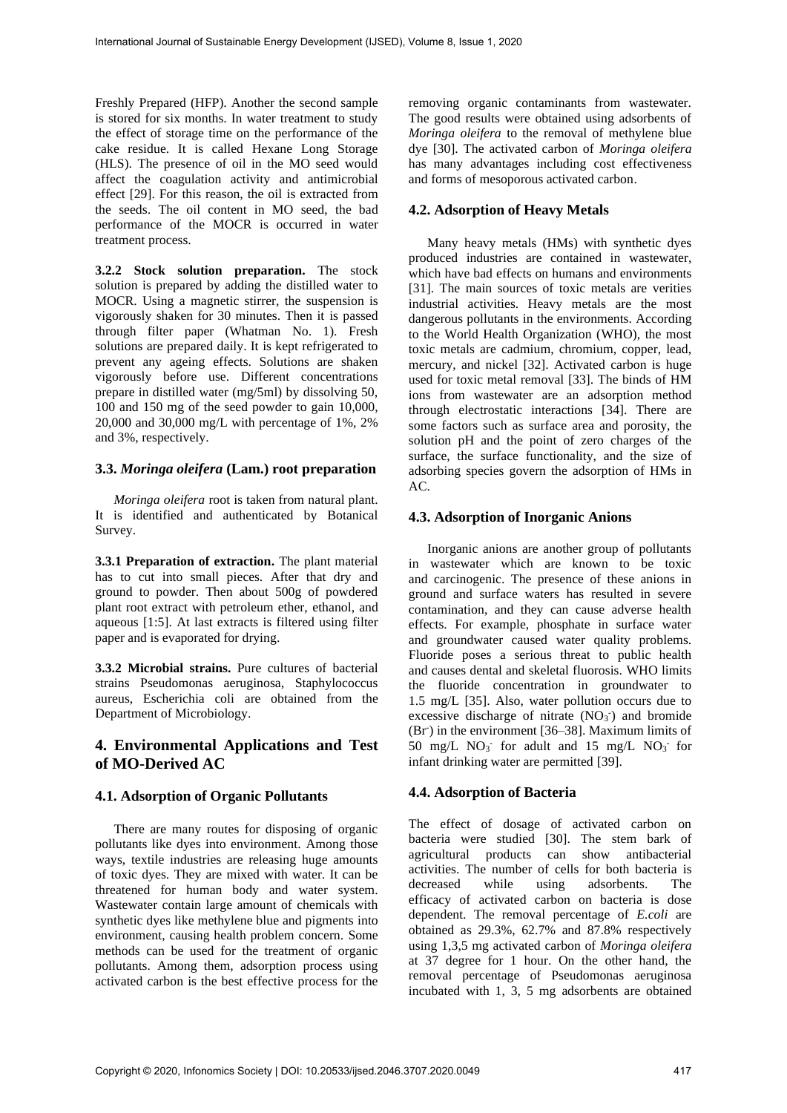Freshly Prepared (HFP). Another the second sample is stored for six months. In water treatment to study the effect of storage time on the performance of the cake residue. It is called Hexane Long Storage (HLS). The presence of oil in the MO seed would affect the coagulation activity and antimicrobial effect [29]. For this reason, the oil is extracted from the seeds. The oil content in MO seed, the bad performance of the MOCR is occurred in water treatment process.

**3.2.2 Stock solution preparation.** The stock solution is prepared by adding the distilled water to MOCR. Using a magnetic stirrer, the suspension is vigorously shaken for 30 minutes. Then it is passed through filter paper (Whatman No. 1). Fresh solutions are prepared daily. It is kept refrigerated to prevent any ageing effects. Solutions are shaken vigorously before use. Different concentrations prepare in distilled water (mg/5ml) by dissolving 50, 100 and 150 mg of the seed powder to gain 10,000, 20,000 and 30,000 mg/L with percentage of 1%, 2% and 3%, respectively.

## **3.3.** *Moringa oleifera* **(Lam.) root preparation**

*Moringa oleifera* root is taken from natural plant. It is identified and authenticated by Botanical Survey.

**3.3.1 Preparation of extraction.** The plant material has to cut into small pieces. After that dry and ground to powder. Then about 500g of powdered plant root extract with petroleum ether, ethanol, and aqueous [1:5]. At last extracts is filtered using filter paper and is evaporated for drying.

**3.3.2 Microbial strains.** Pure cultures of bacterial strains Pseudomonas aeruginosa, Staphylococcus aureus, Escherichia coli are obtained from the Department of Microbiology.

# **4. Environmental Applications and Test of MO-Derived AC**

### **4.1. Adsorption of Organic Pollutants**

There are many routes for disposing of organic pollutants like dyes into environment. Among those ways, textile industries are releasing huge amounts of toxic dyes. They are mixed with water. It can be threatened for human body and water system. Wastewater contain large amount of chemicals with synthetic dyes like methylene blue and pigments into environment, causing health problem concern. Some methods can be used for the treatment of organic pollutants. Among them, adsorption process using activated carbon is the best effective process for the

removing organic contaminants from wastewater. The good results were obtained using adsorbents of *Moringa oleifera* to the removal of methylene blue dye [30]. The activated carbon of *Moringa oleifera* has many advantages including cost effectiveness and forms of mesoporous activated carbon.

### **4.2. Adsorption of Heavy Metals**

Many heavy metals (HMs) with synthetic dyes produced industries are contained in wastewater, which have bad effects on humans and environments [31]. The main sources of toxic metals are verities industrial activities. Heavy metals are the most dangerous pollutants in the environments. According to the World Health Organization (WHO), the most toxic metals are cadmium, chromium, copper, lead, mercury, and nickel [32]. Activated carbon is huge used for toxic metal removal [33]. The binds of HM ions from wastewater are an adsorption method through electrostatic interactions [34]. There are some factors such as surface area and porosity, the solution pH and the point of zero charges of the surface, the surface functionality, and the size of adsorbing species govern the adsorption of HMs in AC.

### **4.3. Adsorption of Inorganic Anions**

Inorganic anions are another group of pollutants in wastewater which are known to be toxic and carcinogenic. The presence of these anions in ground and surface waters has resulted in severe contamination, and they can cause adverse health effects. For example, phosphate in surface water and groundwater caused water quality problems. Fluoride poses a serious threat to public health and causes dental and skeletal fluorosis. WHO limits the fluoride concentration in groundwater to 1.5 mg/L [35]. Also, water pollution occurs due to excessive discharge of nitrate  $(NO<sub>3</sub>)$  and bromide (Br<sup>-</sup>) in the environment [36–38]. Maximum limits of 50 mg/L  $NO_3$ <sup>-</sup> for adult and 15 mg/L  $NO_3$ <sup>-</sup> for infant drinking water are permitted [39].

### **4.4. Adsorption of Bacteria**

The effect of dosage of activated carbon on bacteria were studied [30]. The stem bark of agricultural products can show antibacterial activities. The number of cells for both bacteria is decreased while using adsorbents. The efficacy of activated carbon on bacteria is dose dependent. The removal percentage of *E.coli* are obtained as 29.3%, 62.7% and 87.8% respectively using 1,3,5 mg activated carbon of *Moringa oleifera* at 37 degree for 1 hour. On the other hand, the removal percentage of Pseudomonas aeruginosa incubated with 1, 3, 5 mg adsorbents are obtained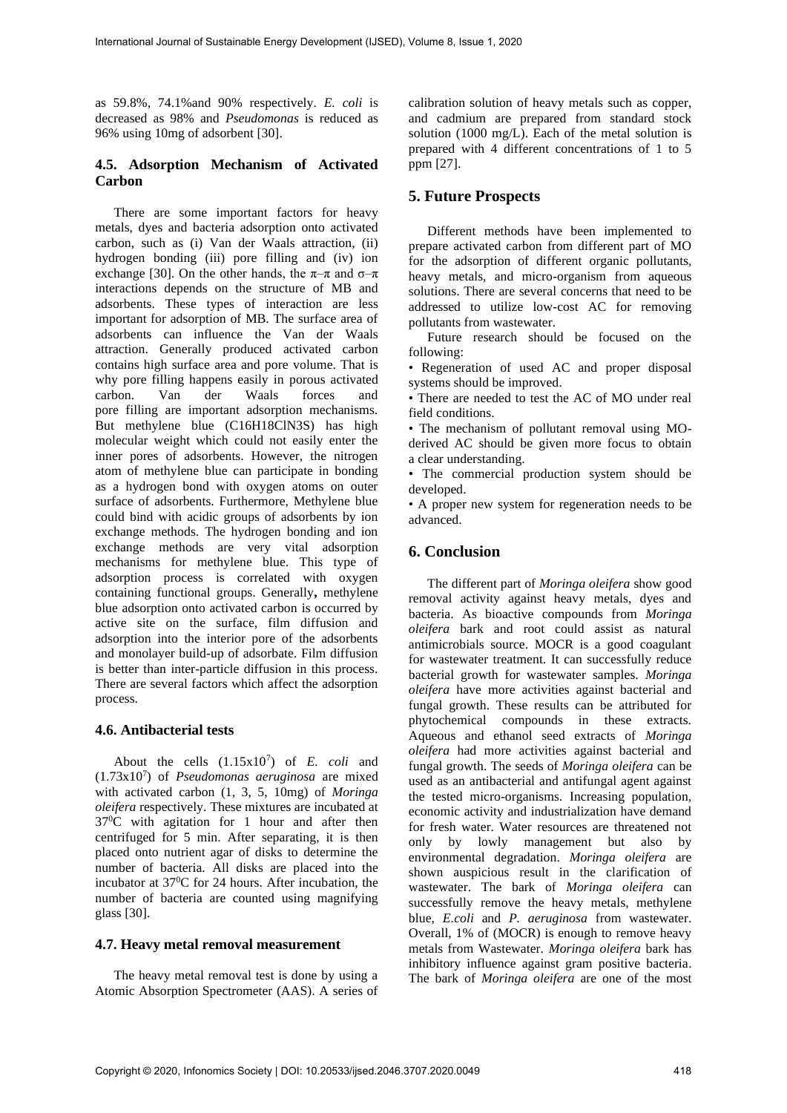as 59.8%, 74.1%and 90% respectively. *E. coli* is decreased as 98% and *Pseudomonas* is reduced as 96% using 10mg of adsorbent [30].

## **4.5. Adsorption Mechanism of Activated Carbon**

There are some important factors for heavy metals, dyes and bacteria adsorption onto activated carbon, such as (i) Van der Waals attraction, (ii) hydrogen bonding (iii) pore filling and (iv) ion exchange [30]. On the other hands, the  $\pi-\pi$  and  $\sigma-\pi$ interactions depends on the structure of MB and adsorbents. These types of interaction are less important for adsorption of MB. The surface area of adsorbents can influence the Van der Waals attraction. Generally produced activated carbon contains high surface area and pore volume. That is why pore filling happens easily in porous activated<br>carbon. Van der Waals forces and carbon. Van der Waals forces and pore filling are important adsorption mechanisms. But methylene blue (C16H18ClN3S) has high molecular weight which could not easily enter the inner pores of adsorbents. However, the nitrogen atom of methylene blue can participate in bonding as a hydrogen bond with oxygen atoms on outer surface of adsorbents. Furthermore, Methylene blue could bind with acidic groups of adsorbents by ion exchange methods. The hydrogen bonding and ion exchange methods are very vital adsorption mechanisms for methylene blue. This type of adsorption process is correlated with oxygen containing functional groups. Generally**,** methylene blue adsorption onto activated carbon is occurred by active site on the surface, film diffusion and adsorption into the interior pore of the adsorbents and monolayer build-up of adsorbate. Film diffusion is better than inter-particle diffusion in this process. There are several factors which affect the adsorption process.

### **4.6. Antibacterial tests**

About the cells  $(1.15x10^7)$  of *E. coli* and (1.73x10<sup>7</sup> ) of *Pseudomonas aeruginosa* are mixed with activated carbon (1, 3, 5, 10mg) of *Moringa oleifera* respectively. These mixtures are incubated at 37<sup>0</sup>C with agitation for 1 hour and after then centrifuged for 5 min. After separating, it is then placed onto nutrient agar of disks to determine the number of bacteria. All disks are placed into the incubator at  $37^{\circ}$ C for 24 hours. After incubation, the number of bacteria are counted using magnifying glass [30].

#### **4.7. Heavy metal removal measurement**

The heavy metal removal test is done by using a Atomic Absorption Spectrometer (AAS). A series of

calibration solution of heavy metals such as copper, and cadmium are prepared from standard stock solution (1000 mg/L). Each of the metal solution is prepared with 4 different concentrations of 1 to 5 ppm [27].

## **5. Future Prospects**

Different methods have been implemented to prepare activated carbon from different part of MO for the adsorption of different organic pollutants, heavy metals, and micro-organism from aqueous solutions. There are several concerns that need to be addressed to utilize low-cost AC for removing pollutants from wastewater.

Future research should be focused on the following:

• Regeneration of used AC and proper disposal systems should be improved.

• There are needed to test the AC of MO under real field conditions.

• The mechanism of pollutant removal using MOderived AC should be given more focus to obtain a clear understanding.

• The commercial production system should be developed.

• A proper new system for regeneration needs to be advanced.

## **6. Conclusion**

The different part of *Moringa oleifera* show good removal activity against heavy metals, dyes and bacteria. As bioactive compounds from *Moringa oleifera* bark and root could assist as natural antimicrobials source. MOCR is a good coagulant for wastewater treatment. It can successfully reduce bacterial growth for wastewater samples. *Moringa oleifera* have more activities against bacterial and fungal growth. These results can be attributed for phytochemical compounds in these extracts. Aqueous and ethanol seed extracts of *Moringa oleifera* had more activities against bacterial and fungal growth. The seeds of *Moringa oleifera* can be used as an antibacterial and antifungal agent against the tested micro-organisms. Increasing population, economic activity and industrialization have demand for fresh water. Water resources are threatened not only by lowly management but also by environmental degradation. *Moringa oleifera* are shown auspicious result in the clarification of wastewater. The bark of *Moringa oleifera* can successfully remove the heavy metals, methylene blue, *E.coli* and *P. aeruginosa* from wastewater. Overall, 1% of (MOCR) is enough to remove heavy metals from Wastewater. *Moringa oleifera* bark has inhibitory influence against gram positive bacteria. The bark of *Moringa oleifera* are one of the most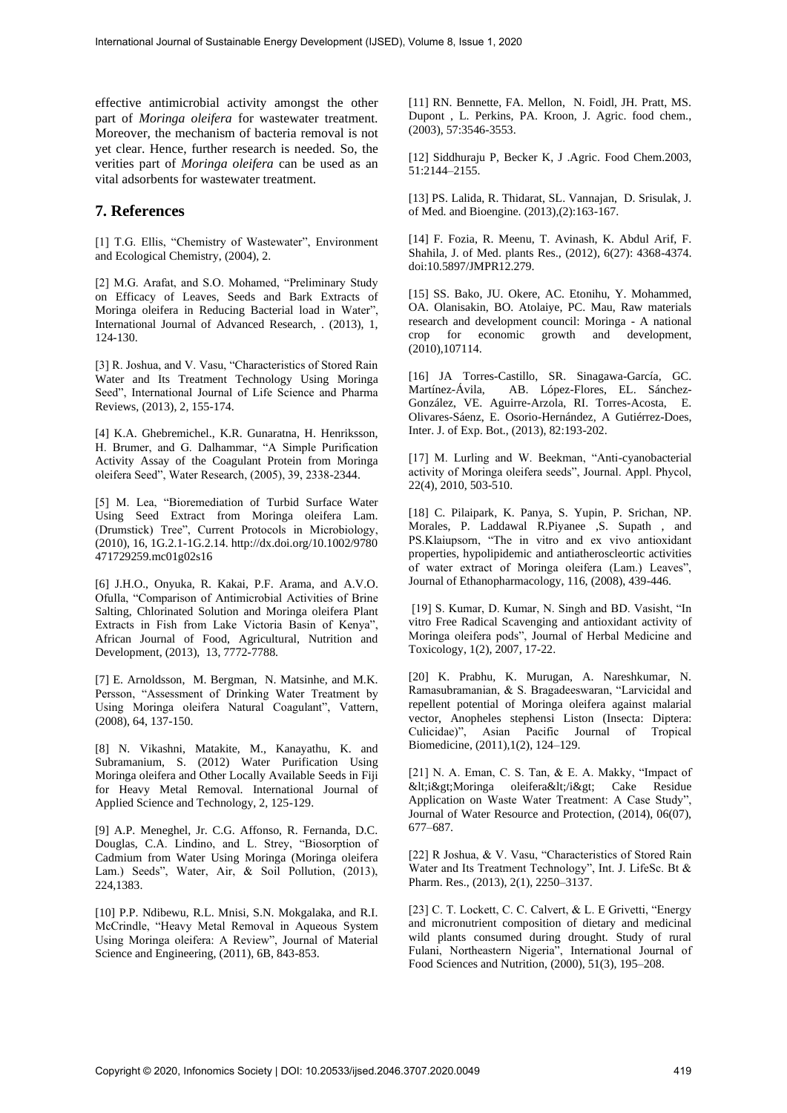effective antimicrobial activity amongst the other part of *Moringa oleifera* for wastewater treatment. Moreover, the mechanism of bacteria removal is not yet clear. Hence, further research is needed. So, the verities part of *Moringa oleifera* can be used as an vital adsorbents for wastewater treatment.

#### **7. References**

[1] T.G. Ellis, "Chemistry of Wastewater", Environment and Ecological Chemistry, (2004), 2.

[2] M.G. Arafat, and S.O. Mohamed, "Preliminary Study on Efficacy of Leaves, Seeds and Bark Extracts of Moringa oleifera in Reducing Bacterial load in Water", International Journal of Advanced Research, . (2013), 1, 124-130.

[3] R. Joshua, and V. Vasu, "Characteristics of Stored Rain Water and Its Treatment Technology Using Moringa Seed", International Journal of Life Science and Pharma Reviews, (2013), 2, 155-174.

[4] K.A. Ghebremichel., K.R. Gunaratna, H. Henriksson, H. Brumer, and G. Dalhammar, "A Simple Purification Activity Assay of the Coagulant Protein from Moringa oleifera Seed", Water Research, (2005), 39, 2338-2344.

[5] M. Lea, "Bioremediation of Turbid Surface Water Using Seed Extract from Moringa oleifera Lam. (Drumstick) Tree", Current Protocols in Microbiology, (2010), 16, 1G.2.1-1G.2.14. http://dx.doi.org/10.1002/9780 471729259.mc01g02s16

[6] J.H.O., Onyuka, R. Kakai, P.F. Arama, and A.V.O. Ofulla, "Comparison of Antimicrobial Activities of Brine Salting, Chlorinated Solution and Moringa oleifera Plant Extracts in Fish from Lake Victoria Basin of Kenya", African Journal of Food, Agricultural, Nutrition and Development, (2013), 13, 7772-7788.

[7] E. Arnoldsson, M. Bergman, N. Matsinhe, and M.K. Persson, "Assessment of Drinking Water Treatment by Using Moringa oleifera Natural Coagulant", Vattern, (2008), 64, 137-150.

[8] N. Vikashni, Matakite, M., Kanayathu, K. and Subramanium, S. (2012) Water Purification Using Moringa oleifera and Other Locally Available Seeds in Fiji for Heavy Metal Removal. International Journal of Applied Science and Technology, 2, 125-129.

[9] A.P. Meneghel, Jr. C.G. Affonso, R. Fernanda, D.C. Douglas, C.A. Lindino, and L. Strey, "Biosorption of Cadmium from Water Using Moringa (Moringa oleifera Lam.) Seeds", Water, Air, & Soil Pollution, (2013), 224,1383.

[10] P.P. Ndibewu, R.L. Mnisi, S.N. Mokgalaka, and R.I. McCrindle, "Heavy Metal Removal in Aqueous System Using Moringa oleifera: A Review", Journal of Material Science and Engineering, (2011), 6B, 843-853.

[11] RN. Bennette, FA. Mellon, N. Foidl, JH. Pratt, MS. Dupont , L. Perkins, PA. Kroon, J. Agric. food chem., (2003), 57:3546-3553.

[12] Siddhuraju P, Becker K, J .Agric. Food Chem.2003, 51:2144–2155.

[13] PS. Lalida, R. Thidarat, SL. Vannajan, D. Srisulak, J. of Med. and Bioengine. (2013),(2):163-167.

[14] F. Fozia, R. Meenu, T. Avinash, K. Abdul Arif, F. Shahila, J. of Med. plants Res., (2012), 6(27): 4368-4374. doi:10.5897/JMPR12.279.

[15] SS. Bako, JU. Okere, AC. Etonihu, Y. Mohammed, OA. Olanisakin, BO. Atolaiye, PC. Mau, Raw materials research and development council: Moringa - A national<br>crop for economic growth and development, crop for economic (2010),107114.

[16] JA Torres-Castillo, SR. Sinagawa-García, GC. AB. López-Flores, EL. Sánchez-González, VE. Aguirre-Arzola, RI. Torres-Acosta, E. Olivares-Sáenz, E. Osorio-Hernández, A Gutiérrez-Does, Inter. J. of Exp. Bot., (2013), 82:193-202.

[17] M. Lurling and W. Beekman, "Anti-cyanobacterial activity of Moringa oleifera seeds", Journal. Appl. Phycol, 22(4), 2010, 503-510.

[18] C. Pilaipark, K. Panya, S. Yupin, P. Srichan, NP. Morales, P. Laddawal R.Piyanee ,S. Supath , and PS.Klaiupsorn, "The in vitro and ex vivo antioxidant properties, hypolipidemic and antiatheroscleortic activities of water extract of Moringa oleifera (Lam.) Leaves", Journal of Ethanopharmacology, 116, (2008), 439-446.

[19] S. Kumar, D. Kumar, N. Singh and BD. Vasisht, "In vitro Free Radical Scavenging and antioxidant activity of Moringa oleifera pods", Journal of Herbal Medicine and Toxicology, 1(2), 2007, 17-22.

[20] K. Prabhu, K. Murugan, A. Nareshkumar, N. Ramasubramanian, & S. Bragadeeswaran, "Larvicidal and repellent potential of Moringa oleifera against malarial vector, Anopheles stephensi Liston (Insecta: Diptera: Culicidae)", Asian Pacific Journal of Tropical Biomedicine, (2011),1(2), 124–129.

[21] N. A. Eman, C. S. Tan, & E. A. Makky, "Impact of  $&dt i>gt; Moringa$  oleifera $&dt i>gt;$  Cake Residue Application on Waste Water Treatment: A Case Study", Journal of Water Resource and Protection, (2014), 06(07), 677–687.

[22] R Joshua, & V. Vasu, "Characteristics of Stored Rain Water and Its Treatment Technology", Int. J. LifeSc. Bt & Pharm. Res., (2013), 2(1), 2250–3137.

[23] C. T. Lockett, C. C. Calvert, & L. E Grivetti, "Energy and micronutrient composition of dietary and medicinal wild plants consumed during drought. Study of rural Fulani, Northeastern Nigeria", International Journal of Food Sciences and Nutrition, (2000), 51(3), 195–208.